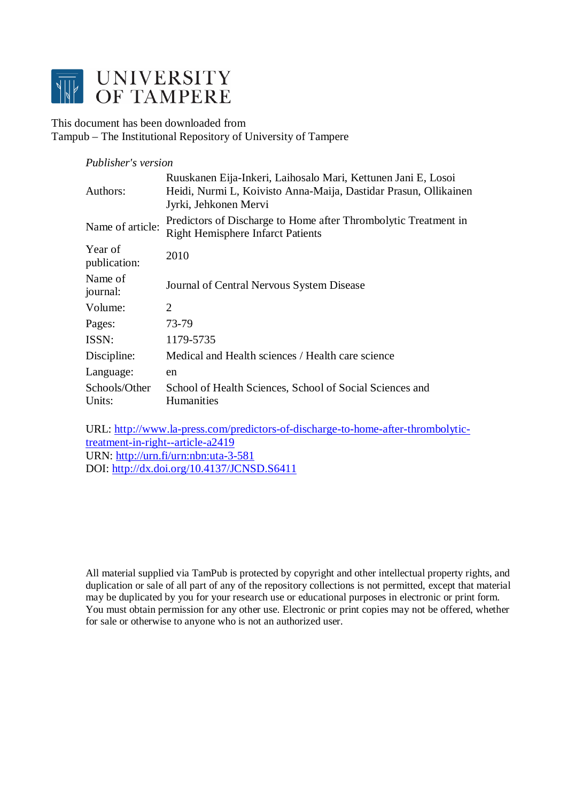

This document has been downloaded from Tampub – The Institutional Repository of University of Tampere

#### *Publisher's version*

| Authors:                | Ruuskanen Eija-Inkeri, Laihosalo Mari, Kettunen Jani E, Losoi<br>Heidi, Nurmi L, Koivisto Anna-Maija, Dastidar Prasun, Ollikainen<br>Jyrki, Jehkonen Mervi |
|-------------------------|------------------------------------------------------------------------------------------------------------------------------------------------------------|
| Name of article:        | Predictors of Discharge to Home after Thrombolytic Treatment in<br><b>Right Hemisphere Infarct Patients</b>                                                |
| Year of<br>publication: | 2010                                                                                                                                                       |
| Name of<br>journal:     | Journal of Central Nervous System Disease                                                                                                                  |
| Volume:                 | 2                                                                                                                                                          |
| Pages:                  | 73-79                                                                                                                                                      |
| ISSN:                   | 1179-5735                                                                                                                                                  |
| Discipline:             | Medical and Health sciences / Health care science                                                                                                          |
| Language:               | en                                                                                                                                                         |
| Schools/Other<br>Units: | School of Health Sciences, School of Social Sciences and<br><b>Humanities</b>                                                                              |

URL: [http://www.la-press.com/predictors-of-discharge-to-home-after-thrombolytic](http://www.la-press.com/predictors-of-discharge-to-home-after-thrombolytic-treatment-in-right--article-a2419)[treatment-in-right--article-a2419](http://www.la-press.com/predictors-of-discharge-to-home-after-thrombolytic-treatment-in-right--article-a2419) URN: <http://urn.fi/urn:nbn:uta-3-581> DOI: <http://dx.doi.org/10.4137/JCNSD.S6411>

All material supplied via TamPub is protected by copyright and other intellectual property rights, and duplication or sale of all part of any of the repository collections is not permitted, except that material may be duplicated by you for your research use or educational purposes in electronic or print form. You must obtain permission for any other use. Electronic or print copies may not be offered, whether for sale or otherwise to anyone who is not an authorized user.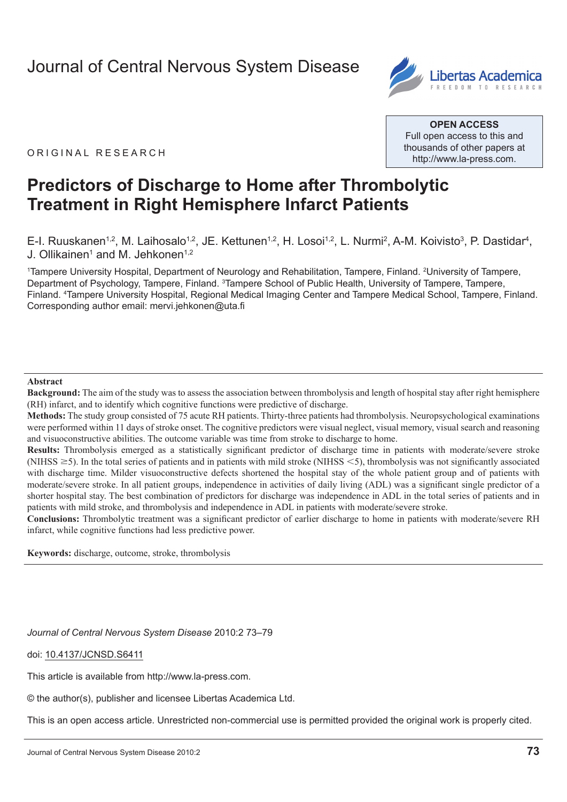# [Journal of Central Nervous System Disease](http://www.la-press.com/journal-of-central-nervous-system-disease-j121)



ORIGINAL RESEARCH

**Open Access** Full open access to this and thousands of other papers at <http://www.la-press.com>.

# **Predictors of Discharge to Home after Thrombolytic Treatment in Right Hemisphere Infarct Patients**

E-I. Ruuskanen<sup>1,2</sup>, M. Laihosalo<sup>1,2</sup>, JE. Kettunen<sup>1,2</sup>, H. Losoi<sup>1,2</sup>, L. Nurmi<sup>2</sup>, A-M. Koivisto<sup>3</sup>, P. Dastidar<sup>4</sup>, J. Ollikainen<sup>1</sup> and M. Jehkonen<sup>1,2</sup>

1 Tampere University Hospital, Department of Neurology and Rehabilitation, Tampere, Finland. 2 University of Tampere, Department of Psychology, Tampere, Finland. <sup>3</sup>Tampere School of Public Health, University of Tampere, Tampere, Finland. 4 Tampere University Hospital, Regional Medical Imaging Center and Tampere Medical School, Tampere, Finland. Corresponding author email: [mervi.jehkonen@uta.fi](mailto:mervi.jehkonen@uta.fi)

#### **Abstract**

**Background:** The aim of the study was to assess the association between thrombolysis and length of hospital stay after right hemisphere (RH) infarct, and to identify which cognitive functions were predictive of discharge.

**Methods:** The study group consisted of 75 acute RH patients. Thirty-three patients had thrombolysis. Neuropsychological examinations were performed within 11 days of stroke onset. The cognitive predictors were visual neglect, visual memory, visual search and reasoning and visuoconstructive abilities. The outcome variable was time from stroke to discharge to home.

**Results:** Thrombolysis emerged as a statistically significant predictor of discharge time in patients with moderate/severe stroke (NIHSS  $\geq$ 5). In the total series of patients and in patients with mild stroke (NIHSS  $\leq$ 5), thrombolysis was not significantly associated with discharge time. Milder visuoconstructive defects shortened the hospital stay of the whole patient group and of patients with moderate/severe stroke. In all patient groups, independence in activities of daily living (ADL) was a significant single predictor of a shorter hospital stay. The best combination of predictors for discharge was independence in ADL in the total series of patients and in patients with mild stroke, and thrombolysis and independence in ADL in patients with moderate/severe stroke.

**Conclusions:** Thrombolytic treatment was a significant predictor of earlier discharge to home in patients with moderate/severe RH infarct, while cognitive functions had less predictive power.

**Keywords:** discharge, outcome, stroke, thrombolysis

*Journal of Central Nervous System Disease* 2010:2 73–79

doi: [10.4137/JCNSD.S6411](http://dx.doi.org/10.4137/JCNSD.S6411)

This article is available from [http://www.la-press.com.](http://www.la-press.com)

© the author(s), publisher and licensee Libertas Academica Ltd.

This is an open access article. Unrestricted non-commercial use is permitted provided the original work is properly cited.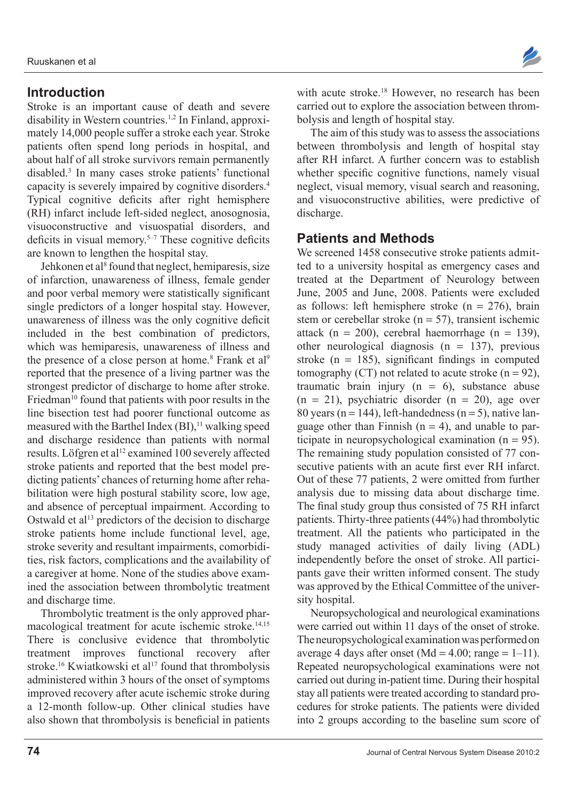## **Introduction**

Stroke is an important cause of death and severe disability in Western countries.<sup>1,2</sup> In Finland, approximately 14,000 people suffer a stroke each year. Stroke patients often spend long periods in hospital, and about half of all stroke survivors remain permanently disabled.3 In many cases stroke patients' functional capacity is severely impaired by cognitive disorders.4 Typical cognitive deficits after right hemisphere (RH) infarct include left-sided neglect, anosognosia, visuoconstructive and visuospatial disorders, and deficits in visual memory.5–7 These cognitive deficits are known to lengthen the hospital stay.

Jehkonen et al<sup>8</sup> found that neglect, hemiparesis, size of infarction, unawareness of illness, female gender and poor verbal memory were statistically significant single predictors of a longer hospital stay. However, unawareness of illness was the only cognitive deficit included in the best combination of predictors, which was hemiparesis, unawareness of illness and the presence of a close person at home.<sup>8</sup> Frank et al<sup>9</sup> reported that the presence of a living partner was the strongest predictor of discharge to home after stroke. Friedman<sup>10</sup> found that patients with poor results in the line bisection test had poorer functional outcome as measured with the Barthel Index  $(BI)$ ,<sup>11</sup> walking speed and discharge residence than patients with normal results. Löfgren et al<sup>12</sup> examined 100 severely affected stroke patients and reported that the best model predicting patients' chances of returning home after rehabilitation were high postural stability score, low age, and absence of perceptual impairment. According to Ostwald et al<sup>13</sup> predictors of the decision to discharge stroke patients home include functional level, age, stroke severity and resultant impairments, comorbidities, risk factors, complications and the availability of a caregiver at home. None of the studies above examined the association between thrombolytic treatment and discharge time.

Thrombolytic treatment is the only approved pharmacological treatment for acute ischemic stroke.14,15 There is conclusive evidence that thrombolytic treatment improves functional recovery after stroke.<sup>16</sup> Kwiatkowski et al<sup>17</sup> found that thrombolysis administered within 3 hours of the onset of symptoms improved recovery after acute ischemic stroke during a 12-month follow-up. Other clinical studies have also shown that thrombolysis is beneficial in patients



The aim of this study was to assess the associations between thrombolysis and length of hospital stay after RH infarct. A further concern was to establish whether specific cognitive functions, namely visual neglect, visual memory, visual search and reasoning, and visuoconstructive abilities, were predictive of discharge.

### **Patients and Methods**

We screened 1458 consecutive stroke patients admitted to a university hospital as emergency cases and treated at the Department of Neurology between June, 2005 and June, 2008. Patients were excluded as follows: left hemisphere stroke ( $n = 276$ ), brain stem or cerebellar stroke ( $n = 57$ ), transient ischemic attack (n = 200), cerebral haemorrhage (n = 139), other neurological diagnosis  $(n = 137)$ , previous stroke  $(n = 185)$ , significant findings in computed tomography (CT) not related to acute stroke  $(n = 92)$ , traumatic brain injury  $(n = 6)$ , substance abuse  $(n = 21)$ , psychiatric disorder  $(n = 20)$ , age over 80 years ( $n = 144$ ), left-handedness ( $n = 5$ ), native language other than Finnish  $(n = 4)$ , and unable to participate in neuropsychological examination (n = 95). The remaining study population consisted of 77 consecutive patients with an acute first ever RH infarct. Out of these 77 patients, 2 were omitted from further analysis due to missing data about discharge time. The final study group thus consisted of 75 RH infarct patients. Thirty-three patients (44%) had thrombolytic treatment. All the patients who participated in the study managed activities of daily living (ADL) independently before the onset of stroke. All participants gave their written informed consent. The study was approved by the Ethical Committee of the university hospital.

Neuropsychological and neurological examinations were carried out within 11 days of the onset of stroke. The neuropsychological examination was performed on average 4 days after onset (Md =  $4.00$ ; range =  $1-11$ ). Repeated neuropsychological examinations were not carried out during in-patient time. During their hospital stay all patients were treated according to standard procedures for stroke patients. The patients were divided into 2 groups according to the baseline sum score of

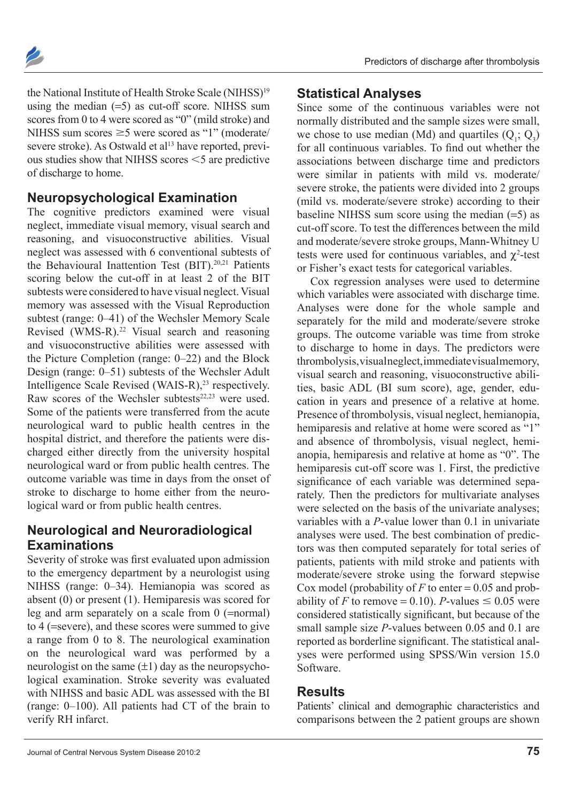

the National Institute of Health Stroke Scale (NIHSS)<sup>19</sup> using the median  $(=5)$  as cut-off score. NIHSS sum scores from 0 to 4 were scored as "0" (mild stroke) and NIHSS sum scores  $\geq$ 5 were scored as "1" (moderate/ severe stroke). As Ostwald et al<sup>13</sup> have reported, previous studies show that NIHSS scores  $\leq$  5 are predictive of discharge to home.

### **Neuropsychological Examination**

The cognitive predictors examined were visual neglect, immediate visual memory, visual search and reasoning, and visuoconstructive abilities. Visual neglect was assessed with 6 conventional subtests of the Behavioural Inattention Test (BIT).<sup>20,21</sup> Patients scoring below the cut-off in at least 2 of the BIT subtests were considered to have visual neglect. Visual memory was assessed with the Visual Reproduction subtest (range: 0–41) of the Wechsler Memory Scale Revised (WMS-R).<sup>22</sup> Visual search and reasoning and visuoconstructive abilities were assessed with the Picture Completion (range: 0–22) and the Block Design (range: 0–51) subtests of the Wechsler Adult Intelligence Scale Revised (WAIS-R),<sup>23</sup> respectively. Raw scores of the Wechsler subtests $22,23$  were used. Some of the patients were transferred from the acute neurological ward to public health centres in the hospital district, and therefore the patients were discharged either directly from the university hospital neurological ward or from public health centres. The outcome variable was time in days from the onset of stroke to discharge to home either from the neurological ward or from public health centres.

# **Neurological and Neuroradiological Examinations**

Severity of stroke was first evaluated upon admission to the emergency department by a neurologist using NIHSS (range: 0–34). Hemianopia was scored as absent (0) or present (1). Hemiparesis was scored for leg and arm separately on a scale from 0 (=normal) to 4 (=severe), and these scores were summed to give a range from 0 to 8. The neurological examination on the neurological ward was performed by a neurologist on the same  $(\pm 1)$  day as the neuropsychological examination. Stroke severity was evaluated with NIHSS and basic ADL was assessed with the BI (range: 0–100). All patients had CT of the brain to verify RH infarct.

#### **Statistical Analyses**

Since some of the continuous variables were not normally distributed and the sample sizes were small, we chose to use median (Md) and quartiles  $(Q_i; Q_3)$ for all continuous variables. To find out whether the associations between discharge time and predictors were similar in patients with mild vs. moderate/ severe stroke, the patients were divided into 2 groups (mild vs. moderate/severe stroke) according to their baseline NIHSS sum score using the median  $(=5)$  as cut-off score. To test the differences between the mild and moderate/severe stroke groups, Mann-Whitney U tests were used for continuous variables, and  $\chi^2$ -test or Fisher's exact tests for categorical variables.

Cox regression analyses were used to determine which variables were associated with discharge time. Analyses were done for the whole sample and separately for the mild and moderate/severe stroke groups. The outcome variable was time from stroke to discharge to home in days. The predictors were thrombolysis, visual neglect, immediate visual memory, visual search and reasoning, visuoconstructive abilities, basic ADL (BI sum score), age, gender, education in years and presence of a relative at home. Presence of thrombolysis, visual neglect, hemianopia, hemiparesis and relative at home were scored as "1" and absence of thrombolysis, visual neglect, hemianopia, hemiparesis and relative at home as "0". The hemiparesis cut-off score was 1. First, the predictive significance of each variable was determined separately. Then the predictors for multivariate analyses were selected on the basis of the univariate analyses; variables with a *P*-value lower than 0.1 in univariate analyses were used. The best combination of predictors was then computed separately for total series of patients, patients with mild stroke and patients with moderate/severe stroke using the forward stepwise Cox model (probability of  $F$  to enter = 0.05 and probability of *F* to remove = 0.10). *P*-values  $\leq$  0.05 were considered statistically significant, but because of the small sample size *P*-values between 0.05 and 0.1 are reported as borderline significant. The statistical analyses were performed using SPSS/Win version 15.0 Software.

## **Results**

Patients' clinical and demographic characteristics and comparisons between the 2 patient groups are shown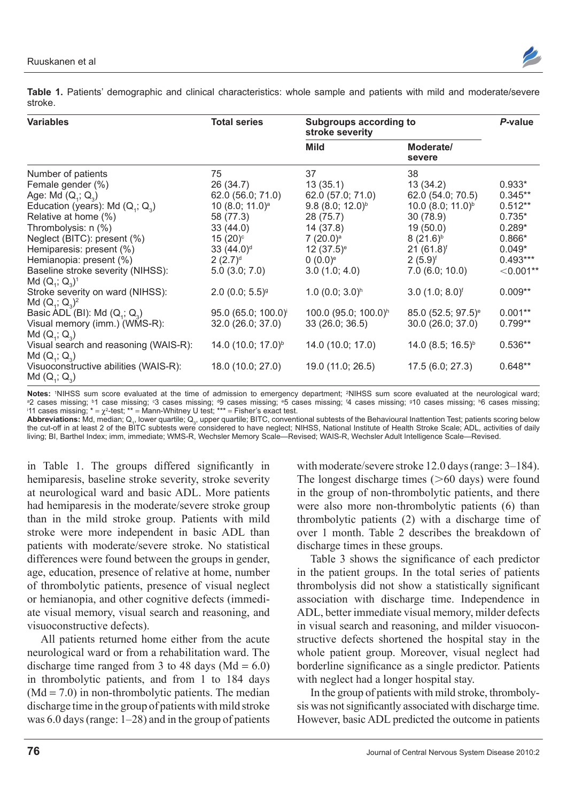

**Table 1.** Patients' demographic and clinical characteristics: whole sample and patients with mild and moderate/severe stroke.

| <b>Variables</b>                                         | <b>Total series</b>             | <b>Subgroups according to</b><br>stroke severity |                                | P-value     |
|----------------------------------------------------------|---------------------------------|--------------------------------------------------|--------------------------------|-------------|
|                                                          |                                 | <b>Mild</b>                                      | Moderate/<br>severe            |             |
| Number of patients                                       | 75                              | 37                                               | 38                             |             |
| Female gender (%)                                        | 26(34.7)                        | 13(35.1)                                         | 13(34.2)                       | $0.933*$    |
| Age: Md $(Q_1; Q_2)$                                     | 62.0 (56.0; 71.0)               | 62.0 (57.0; 71.0)                                | 62.0 (54.0; 70.5)              | $0.345**$   |
| Education (years): Md $(Q_1; Q_2)$                       | 10 (8.0; 11.0) <sup>a</sup>     | $9.8(8.0; 12.0)^{b}$                             | 10.0 (8.0; 11.0) <sup>b</sup>  | $0.512**$   |
| Relative at home (%)                                     | 58 (77.3)                       | 28 (75.7)                                        | 30 (78.9)                      | $0.735*$    |
| Thrombolysis: n (%)                                      | 33(44.0)                        | 14 (37.8)                                        | 19(50.0)                       | $0.289*$    |
| Neglect (BITC): present (%)                              | $15(20)$ <sup>c</sup>           | $7(20.0)^a$                                      | $8(21.6)^{b}$                  | $0.866*$    |
| Hemiparesis: present (%)                                 | $33(44.0)$ <sup>d</sup>         | $12(37.5)^e$                                     | $21 (61.8)^f$                  | $0.049*$    |
| Hemianopia: present (%)                                  | $(2.7)^d$                       | $(0.0)^e$                                        | $(5.9)^f$                      | $0.493***$  |
| Baseline stroke severity (NIHSS):<br>Md $(Q_1; Q_2)^1$   | $5.0$ $(3.0; 7.0)$              | 3.0(1.0; 4.0)                                    | $7.0$ (6.0; 10.0)              | $<$ 0.001** |
| Stroke severity on ward (NIHSS):<br>Md $(Q_1; Q_2)^2$    | $2.0$ (0.0; 5.5) <sup>9</sup>   | 1.0 $(0.0; 3.0)^h$                               | $3.0$ (1.0; 8.0) <sup>f</sup>  | $0.009**$   |
| Basic ADL (BI): Md $(Q_1; Q_2)$                          | 95.0 (65.0; 100.0) <sup>i</sup> | 100.0 (95.0; 100.0) <sup>h</sup>                 | 85.0 (52.5; 97.5) <sup>e</sup> | $0.001**$   |
| Visual memory (imm.) (WMS-R):                            | 32.0 (26.0; 37.0)               | 33 (26.0; 36.5)                                  | 30.0 (26.0; 37.0)              | $0.799**$   |
| $Md(Q_1; Q_2)$                                           |                                 |                                                  |                                |             |
| Visual search and reasoning (WAIS-R):<br>$Md(Q_1; Q_2)$  | 14.0 (10.0; 17.0) <sup>b</sup>  | 14.0 (10.0; 17.0)                                | 14.0 $(8.5; 16.5)^{b}$         | $0.536**$   |
| Visuoconstructive abilities (WAIS-R):<br>Md $(Q_1; Q_3)$ | 18.0 (10.0; 27.0)               | 19.0 (11.0; 26.5)                                | 17.5 (6.0; 27.3)               | $0.648**$   |

**Notes:** <sup>1</sup>NIHSS sum score evaluated at the time of admission to emergency department; <sup>2</sup> Notes: 1NIHSS sum score evaluated at the time of admission to emergency department; <sup>2</sup>NIHSS sum score evaluated at the neurological ward;<br><sup>a</sup>2 cases missing; <sup>b</sup>1 case missing; °3 cases missing; <sup>d</sup>9 cases missing; °5 ca

Abbreviations: Md, median; Q<sub>1</sub>, lower quartile; Q<sub>3</sub>, upper quartile; BITC, conventional subtests of the Behavioural Inattention Test; patients scoring below the cut-off in at least 2 of the BITC subtests were considered to have neglect; NIHSS, National Institute of Health Stroke Scale; ADL, activities of daily living; BI, Barthel Index; imm, immediate; WMS-R, Wechsler Memory Scale—Revised; WAIS-R, Wechsler Adult Intelligence Scale—Revised.

in Table 1. The groups differed significantly in hemiparesis, baseline stroke severity, stroke severity at neurological ward and basic ADL. More patients had hemiparesis in the moderate/severe stroke group than in the mild stroke group. Patients with mild stroke were more independent in basic ADL than patients with moderate/severe stroke. No statistical differences were found between the groups in gender, age, education, presence of relative at home, number of thrombolytic patients, presence of visual neglect or hemianopia, and other cognitive defects (immediate visual memory, visual search and reasoning, and visuoconstructive defects).

All patients returned home either from the acute neurological ward or from a rehabilitation ward. The discharge time ranged from 3 to 48 days ( $Md = 6.0$ ) in thrombolytic patients, and from 1 to 184 days  $(Md = 7.0)$  in non-thrombolytic patients. The median discharge time in the group of patients with mild stroke was 6.0 days (range: 1–28) and in the group of patients

with moderate/severe stroke 12.0 days (range: 3–184). The longest discharge times  $($ >60 days) were found in the group of non-thrombolytic patients, and there were also more non-thrombolytic patients (6) than thrombolytic patients (2) with a discharge time of over 1 month. Table 2 describes the breakdown of discharge times in these groups.

Table 3 shows the significance of each predictor in the patient groups. In the total series of patients thrombolysis did not show a statistically significant association with discharge time. Independence in ADL, better immediate visual memory, milder defects in visual search and reasoning, and milder visuoconstructive defects shortened the hospital stay in the whole patient group. Moreover, visual neglect had borderline significance as a single predictor. Patients with neglect had a longer hospital stay.

In the group of patients with mild stroke, thrombolysis was not significantly associated with discharge time. However, basic ADL predicted the outcome in patients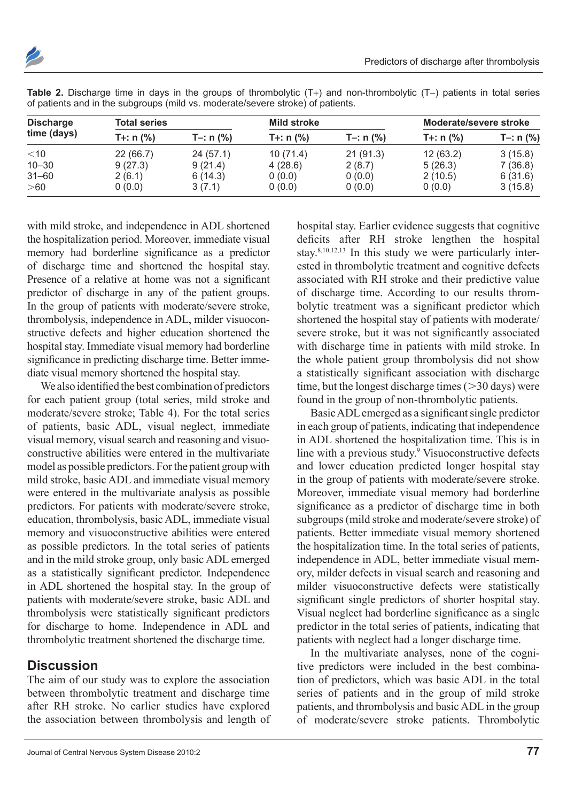

| <b>Discharge</b> | <b>Total series</b> |             | <b>Mild stroke</b> |             | Moderate/severe stroke |             |
|------------------|---------------------|-------------|--------------------|-------------|------------------------|-------------|
| time (days)      | $T +: n$ (%)        | T-: $n$ (%) | $T +: n$ (%)       | T-: $n$ (%) | $T +: n$ (%)           | $T-: n$ (%) |
| $<$ 10           | 22 (66.7)           | 24(57.1)    | 10(71.4)           | 21(91.3)    | 12(63.2)               | 3(15.8)     |
| $10 - 30$        | 9(27.3)             | 9(21.4)     | 4(28.6)            | 2(8.7)      | 5(26.3)                | 7(36.8)     |
| $31 - 60$        | 2(6.1)              | 6(14.3)     | 0(0.0)             | 0(0.0)      | 2(10.5)                | 6(31.6)     |
| >60              | 0(0.0)              | 3(7.1)      | 0(0.0)             | 0(0.0)      | 0(0.0)                 | 3(15.8)     |

**Table 2.** Discharge time in days in the groups of thrombolytic (T+) and non-thrombolytic (T−) patients in total series of patients and in the subgroups (mild vs. moderate/severe stroke) of patients.

with mild stroke, and independence in ADL shortened the hospitalization period. Moreover, immediate visual memory had borderline significance as a predictor of discharge time and shortened the hospital stay. Presence of a relative at home was not a significant predictor of discharge in any of the patient groups. In the group of patients with moderate/severe stroke, thrombolysis, independence in ADL, milder visuoconstructive defects and higher education shortened the hospital stay. Immediate visual memory had borderline significance in predicting discharge time. Better immediate visual memory shortened the hospital stay.

We also identified the best combination of predictors for each patient group (total series, mild stroke and moderate/severe stroke; Table 4). For the total series of patients, basic ADL, visual neglect, immediate visual memory, visual search and reasoning and visuoconstructive abilities were entered in the multivariate model as possible predictors. For the patient group with mild stroke, basic ADL and immediate visual memory were entered in the multivariate analysis as possible predictors. For patients with moderate/severe stroke, education, thrombolysis, basic ADL, immediate visual memory and visuoconstructive abilities were entered as possible predictors. In the total series of patients and in the mild stroke group, only basic ADL emerged as a statistically significant predictor. Independence in ADL shortened the hospital stay. In the group of patients with moderate/severe stroke, basic ADL and thrombolysis were statistically significant predictors for discharge to home. Independence in ADL and thrombolytic treatment shortened the discharge time.

## **Discussion**

The aim of our study was to explore the association between thrombolytic treatment and discharge time after RH stroke. No earlier studies have explored the association between thrombolysis and length of hospital stay. Earlier evidence suggests that cognitive deficits after RH stroke lengthen the hospital stay.<sup>8,10,12,13</sup> In this study we were particularly interested in thrombolytic treatment and cognitive defects associated with RH stroke and their predictive value of discharge time. According to our results thrombolytic treatment was a significant predictor which shortened the hospital stay of patients with moderate/ severe stroke, but it was not significantly associated with discharge time in patients with mild stroke. In the whole patient group thrombolysis did not show a statistically significant association with discharge time, but the longest discharge times  $(>30 \text{ days})$  were found in the group of non-thrombolytic patients.

Basic ADL emerged as a significant single predictor in each group of patients, indicating that independence in ADL shortened the hospitalization time. This is in line with a previous study.<sup>9</sup> Visuoconstructive defects and lower education predicted longer hospital stay in the group of patients with moderate/severe stroke. Moreover, immediate visual memory had borderline significance as a predictor of discharge time in both subgroups (mild stroke and moderate/severe stroke) of patients. Better immediate visual memory shortened the hospitalization time. In the total series of patients, independence in ADL, better immediate visual memory, milder defects in visual search and reasoning and milder visuoconstructive defects were statistically significant single predictors of shorter hospital stay. Visual neglect had borderline significance as a single predictor in the total series of patients, indicating that patients with neglect had a longer discharge time.

In the multivariate analyses, none of the cognitive predictors were included in the best combination of predictors, which was basic ADL in the total series of patients and in the group of mild stroke patients, and thrombolysis and basic ADL in the group of moderate/severe stroke patients. Thrombolytic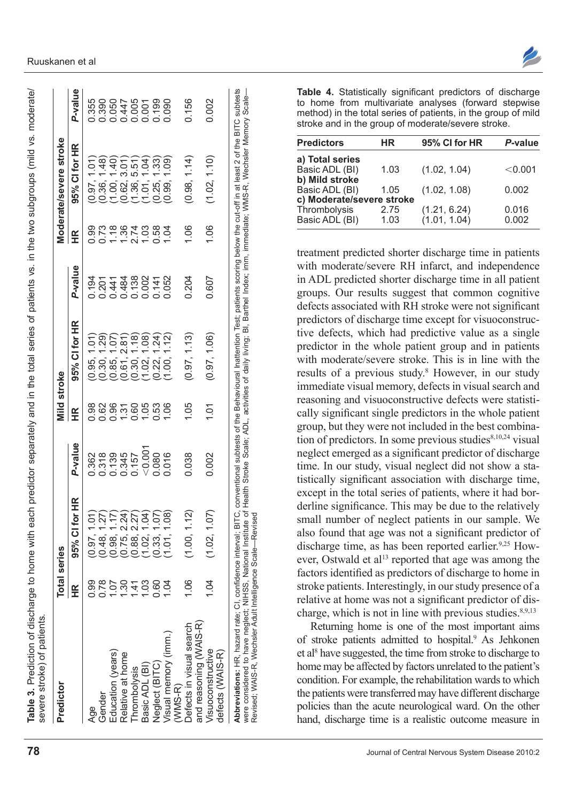| Predictor                             | <b>Total series</b> |                                  |                                    | Viild stroke   |                                 |                             |              | Moderate/severe stroke           |                                                                              |
|---------------------------------------|---------------------|----------------------------------|------------------------------------|----------------|---------------------------------|-----------------------------|--------------|----------------------------------|------------------------------------------------------------------------------|
|                                       | 氏<br>王              | 95% CI for HR                    | P-value                            | 子<br>王         | 95% CI for HR                   | P-value                     | 丘            | 95% CI for HR                    | P-value                                                                      |
| Age                                   | 0.99                | (0.97, 1.01)                     | 0.362                              | 0.98           | 0.95, 1.01                      | 0.194                       | 0.99         | 0.97, 1.01                       | 0.355                                                                        |
| Gender                                | 0.78                |                                  |                                    | 0.62           | (62)<br>(0.30, 1)               |                             | 0.73         |                                  | 0.390                                                                        |
| Education (years)                     | 10.7                | $(0.48, 1.27)$<br>$(0.98, 1.17)$ | 0.318<br>0.139<br>0.0.157<br>0.0.0 | 0.96           | (10.1)<br>(0.85, 1)             | 0.01484<br>0.4484<br>0.4484 | 1.18         | $(0.36, 1.48)$<br>$(1.00, 1.40)$ |                                                                              |
| Relative at home                      | 1.30                | (0.75, 2.24)                     |                                    | 1.31           | (0.61, 2.81)                    |                             | 1.36         | (0.62, 3.01)                     |                                                                              |
| Thrombolysis                          | $\dot{4}$           | (0.88, 2.27)                     |                                    | 0.60           | (0.30, 1.18)                    |                             |              |                                  |                                                                              |
| Basic ADL (BI)                        | 1.03                | (1.02, 1.04)                     | < 0.001                            | 1.05           | (1.02, 1.08)                    | 0.138                       | 2.74<br>1.03 | $(1.36, 5.51)$<br>$(1.01, 1.04)$ | $\begin{array}{l} 0.000000 \\ 0.010000 \\ 0.00000 \\ 0.00000 \\ \end{array}$ |
| Neglect (BITC)                        | 0.60                | (0.33, 1.07)                     | 0.080                              | 0.53           | 1.24<br>(0.22, 7)               | 0.141<br>0.052              | 0.58         | (1.33)<br>(0.25,                 |                                                                              |
| Visual memory (imm.)                  | 10.1                | (1.01, 1.08)                     |                                    | 1.06           | $\overline{2}$<br>$\frac{1}{2}$ |                             | 1.04         | (60.1<br>(0.99,                  |                                                                              |
| Defects in visual search<br>$WMS-R$ ) | 1.06                | (1.00, 1.12)                     | 0.038                              | 1.05           | (0.97, 1.13)                    | 0.204                       | 1.06         | (0.98, 1.14)                     | 0.156                                                                        |
| and reasoning (WAIS-R)                |                     |                                  |                                    |                |                                 |                             |              |                                  |                                                                              |
| Visuoconstructive<br>defects (WAIS-R) | 10.1                | (1.02, 1.07)                     | 0.002                              | $\overline{0}$ | (0.97, 1.06)                    | 0.607                       | 1.06         | (1.02, 1.10)                     | 0.002                                                                        |

Revised; WAIS-

R, Wechsler Adult Intelligence Scale— Revised; WAIS-R, Wechsler Adult Intelligence Scale-Revised

**Table 4.** Statistically significant predictors of discharge to home from multivariate analyses (forward stepwise method) in the total series of patients, in the group of mild stroke and in the group of moderate/severe stroke.

| <b>Predictors</b>         | HR   | 95% CI for HR | P-value |
|---------------------------|------|---------------|---------|
| a) Total series           |      |               |         |
| Basic ADL (BI)            | 1.03 | (1.02, 1.04)  | < 0.001 |
| b) Mild stroke            |      |               |         |
| Basic ADL (BI)            | 1.05 | (1.02, 1.08)  | 0.002   |
| c) Moderate/severe stroke |      |               |         |
| Thrombolysis              | 2.75 | (1.21, 6.24)  | 0.016   |
| Basic ADL (BI)            | 1.03 | (1.01, 1.04)  | 0.002   |
|                           |      |               |         |

treatment predicted shorter discharge time in patients with moderate/severe RH infarct, and independence in ADL predicted shorter discharge time in all patient groups. Our results suggest that common cognitive defects associated with RH stroke were not significant predictors of discharge time except for visuoconstructive defects, which had predictive value as a single predictor in the whole patient group and in patients with moderate/severe stroke. This is in line with the results of a previous study.<sup>8</sup> However, in our study immediate visual memory, defects in visual search and reasoning and visuoconstructive defects were statistically significant single predictors in the whole patient group, but they were not included in the best combination of predictors. In some previous studies $8,10,24$  visual neglect emerged as a significant predictor of discharge time. In our study, visual neglect did not show a statistically significant association with discharge time, except in the total series of patients, where it had borderline significance. This may be due to the relatively small number of neglect patients in our sample. We also found that age was not a significant predictor of discharge time, as has been reported earlier.<sup>9,25</sup> However, Ostwald et al<sup>13</sup> reported that age was among the factors identified as predictors of discharge to home in stroke patients. Interestingly, in our study presence of a relative at home was not a significant predictor of discharge, which is not in line with previous studies. $8,9,13$ 

Returning home is one of the most important aims of stroke patients admitted to hospital.<sup>9</sup> As Jehkonen et al8 have suggested, the time from stroke to discharge to home may be affected by factors unrelated to the patient's condition. For example, the rehabilitation wards to which the patients were transferred may have different discharge policies than the acute neurological ward. On the other hand, discharge time is a realistic outcome measure in

Table 3. Prediction of discharge to home with each predictor separately and in the total series of patients vs. in the two subgroups (mild vs. moderate/

Prediction of discharge to home with each predictor separately and in the total series of patients vs. in the two subgroups (mild vs. moderate/